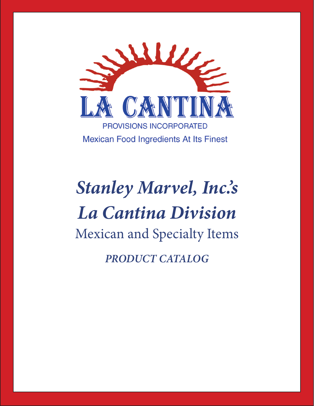

# *Stanley Marvel, Inc.'s La Cantina Division* Mexican and Specialty Items *PRODUCT CATALOG*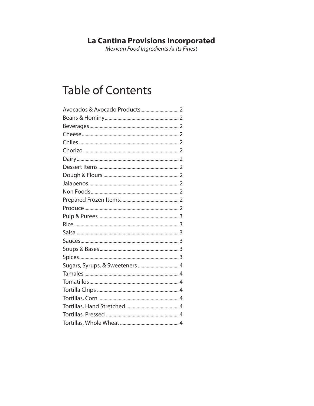## La Cantina Provisions Incorporated<br>Mexican Food Ingredients At Its Finest

### **Table of Contents**

| Sugars, Syrups, & Sweeteners  4 |
|---------------------------------|
|                                 |
|                                 |
|                                 |
|                                 |
|                                 |
|                                 |
|                                 |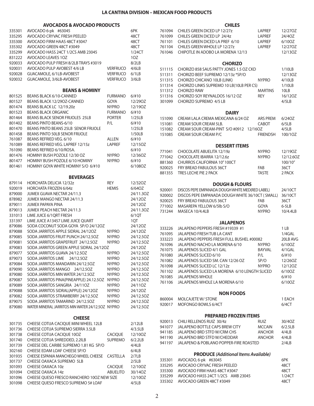#### **AVOCADOS & AVOCADO PRODUCTS**

| 335301 | AVOCADO 6-pk #63045                              |                 | 6PK       |
|--------|--------------------------------------------------|-----------------|-----------|
| 335295 | AVOCADO CRYVAC FRESH PEELED                      |                 | 48CT      |
| 335300 | AVOCADO FIRM HAAS 48CT #3047                     |                 | 48CT      |
| 335302 | AVOCADO GREEN 48CT #3049                         |                 | 48CT      |
| 335299 | AVOCADO HASS 24CT 1/2CS AMB 23045                |                 | 1/24CT    |
| 831222 | <b>AVOCADO LEAVES 1OZ</b>                        |                 | 1OZ       |
| 920033 | AVOCADO PULP FRESH 8/2LB TRAYS #3019             |                 | 8/2LB     |
| 920031 | AVOCADO PULP AVOBEST 4/6 LB                      | Verfruco        | 4/6LB     |
| 920028 | GUACAMOLE, 6/1LB-AVOBEST                         | <b>VERFRUCO</b> | 6/1LB     |
| 920032 | GUACAMOLE, 3/6LB-AVOBEST                         | <b>VERFRUCO</b> | 3/6LB     |
|        |                                                  |                 |           |
|        | <b>BEANS &amp; HOMINY</b>                        |                 |           |
| 801525 | <b>BEANS BLACK 6/10-CANNED</b>                   | <b>FURMANO</b>  | 6/110     |
| 801527 | BEANS BLACK 12/29OZ-CANNED                       | GOYA            | 12/290Z   |
| 801474 | BEANS BLACK LC 12/19.20z                         | <b>NYPRO</b>    | 12/190Z   |
| 801523 | <b>BEANS BLACK ORGANIC</b>                       | <b>FURMANO</b>  | 6/110     |
| 801464 | BEANS BLACK SENOR FRIJOLES 25LB                  | <b>PORTER</b>   | 1/25LB    |
| 801402 | BEANS PINTO BEANS-6/10                           | P/L             | 6/110     |
| 801470 | BEANS PINTO BEANS 25LB SENOR FRIJOLE             |                 | 1/25LB    |
| 801458 | BEANS PINTO 50LB SENOR FRIJOLE                   |                 | 1/50LB    |
| 761087 | BEANS REFRIED VEG. 6/10                          | ALLEN           | 6/110     |
| 761089 | BEANS REFRIED VEG. LAPREF 12/15z                 | <b>LAPREF</b>   | 12/15OZ   |
| 761090 | BEANS REFRIED 6/10/ROSA.                         |                 | $6/$ #10  |
|        | HOMINY BUSH POZOLE 12/30 OZ                      |                 |           |
| 801476 |                                                  | <b>NYPRO</b>    | 12/36OZ   |
| 801477 | HOMINY BUSH POZOLE 6/10 HOMINY                   | <b>NYPRO</b>    | 6/110     |
| 801461 | HOMINY GOYA WHITE HOMINY S/O 6/#10               |                 | 6/108OZ   |
|        | <b>BEVERAGES</b>                                 |                 |           |
| 879114 | <b>HORCHATA DELICIA 12/32z</b>                   | REY             | 12/320Z   |
| 920019 | <b>HORCHATA FROZEN 6/64z</b>                     | <b>HEMIS</b>    | 6/64OZ    |
| 879000 | JUMEX GUAVA NECTAR 24/11.3                       |                 | 24/11.30Z |
| 878982 | JUMEX MANGO NECTAR 24/11.3                       |                 | 24/12OZ   |
| 879011 | <b>JUMEX PAPAYA PINA</b>                         |                 | 24/12OZ   |
| 879013 | JUMEX PEACH NECTAR 24/11.3                       |                 | 24/11.30Z |
|        |                                                  |                 |           |
| 331013 | LIME JUICE 6/1QRT FRESH                          |                 | 6/1QT     |
| 331397 | LIME JUICE A13457 LIME JUICE QUART               |                 | 1QT       |
| 879086 | SODA COCONUT SODA GOYA SP/O 24/12OZ              |                 | 24/12OZ   |
| 879088 | SODA JARRITOS APPLE SIDRAL 24/12OZ               | <b>NYPRO</b>    | 24/120Z   |
| 879085 | SODA JARRITOS FRUIT PUNCH 24/12.5OZ              | <b>NYPRO</b>    | 24/12.5OZ |
| 879081 | SODA JARRITOS GRAPEFRUIT 24/12.5OZ               | <b>NYPRO</b>    | 24/12.5OZ |
| 879083 | SODA JARRITOS GREEN APPLE SIDRAL 24/12OZ         |                 | 24/120Z   |
| 879077 | SODA JARRITOS GUAVA 24/12.50Z                    | <b>NYPRO</b>    | 24/12.5OZ |
| 879073 | SODA JARRITOS LIME 24/12.50Z                     | <b>NYPRO</b>    | 24/12.5OZ |
| 879084 | SODA JARRITOS MANDARIN 24/12.50Z                 | <b>NYPRO</b>    | 24/12.5OZ |
| 879090 | SODA JARRITOS MANGO 24/12.50Z                    | <b>NYPRO</b>    | 24/12.50Z |
| 879080 | SODA JARRITOS MIN WATER 24/12.50Z                | <b>NYPRO</b>    | 24/12.5OZ |
| 879087 | SODA JARRITOS PINA(PINEAPPLE) 24.12.5OZ          | <b>NYPRO</b>    | 24/12.5OZ |
| 879089 | SODA JARRITOS SANGRIA 24/11OZ                    | <b>NYPRO</b>    | 24/11OZ   |
| 879088 | SODA JARRITOS SIDRAL(APPLE) 24/12OZ              | <b>NYPRO</b>    | 24/120Z   |
| 879082 | SODA JARRITOS STRAWBERRY 24/12.50Z               | <b>NYPRO</b>    | 24/12.5OZ |
| 879075 | SODA JARRITOS TAMARIND 24/12.50Z                 | <b>NYPRO</b>    | 24/12.5OZ |
| 879080 | WATER MINERAL JARRITOS MIN WATER 24/12.50Z NYPRO |                 | 24/12.5OZ |
|        |                                                  |                 |           |
|        | <b>CHEESE</b>                                    |                 |           |
| 301735 | CHEESE COTIJA CACIQUE MINI WHEEL 12LB            |                 | 2/12LB    |
| 301736 | CHEESE COTIJA SUPREMO SIERRA 3.5LB               |                 | 4/3.5LB   |
| 301738 | CHEESE COTIJA CACIQUE 100Z                       | <b>CACIQUE</b>  | 12/10OZ   |
| 301740 | CHEESE COTIJA SHREDDED, 2.2ILB                   | <b>SUPREMO</b>  | 6/2.2LB   |
| 301739 | CHEESE DEL CARIBE SUPREMO 1.81 KG SP/O           |                 | 4/4LB     |
| 302160 | CHEESE EDAM LOAF CHEESE SP/O                     |                 | 6/4LB     |
| 301935 | CHEESE ESPANIA MANCHEGO WHEEL CHEESE             | CASTELLA        | 2/7LB     |
| 301737 | CHEESE OAXACA SUPREMO 5LB                        |                 | 2/5LB     |
| 301093 | CHEESE OAXACA 10z                                | <b>CACIQUE</b>  | 12/10OZ   |
| 301094 | CHEESE OAXACA 14z                                | <b>ABUELITO</b> | 30/14OZ   |
| 301096 | CHEESE QUESO FRESCO RANCHERO 100Z NEW SIZE       |                 | 12/10OZ   |
| 301098 | CHEESE QUESO FRESCO SUPREMO 5# LOAF              |                 | 4/5LB     |
|        |                                                  |                 |           |

#### **CHILES**

| 761094<br>761099<br>761101<br>761104<br>761046                                                             | CHILES GREEN DICED LP 12/27z<br>CHILES GREEN DICED LP 24/4z<br>CHILES GREEN DICED LA PREF 6/10<br>CHILES GREEN WHOLE LP 12/27z<br>CHIPOTLE IN ADOBO LA MORENA 12/13                                                                                                                                                                                                                                                 | <b>LAPREF</b><br>LAPREF<br><b>LAPREF</b><br><b>LAPREF</b>      | 12/270Z<br>24/4OZ<br>6/10OZ<br>12/27OZ<br>12/13OZ                                                          |  |  |  |
|------------------------------------------------------------------------------------------------------------|---------------------------------------------------------------------------------------------------------------------------------------------------------------------------------------------------------------------------------------------------------------------------------------------------------------------------------------------------------------------------------------------------------------------|----------------------------------------------------------------|------------------------------------------------------------------------------------------------------------|--|--|--|
| 511115<br>511311<br>511315<br>511314<br>511312<br>511316<br>301099                                         | <b>CHORIZO</b><br>CHORIZO 858 SAUS PATTY JONES 1.5 OZ CKD<br>CHORIZO BEEF SUPREMO 12/13z *SP/O<br>CHORIZO CHICANO 10LB (LINK)<br>CHORIZO LINKS SUPREMO 10 LB(10LB PER CS)<br><b>CHORIZO RAW</b><br>CHORIZO SOY REYNALDOS 16/12 OZ<br>CHORIZO SUPREMO 4/5 LB                                                                                                                                                         | <b>NYPRO</b><br><b>MARTINS</b><br><b>REY</b>                   | 1/10LB<br>12/13OZ<br>4/10LB<br>1/10LB<br>10LB<br>16/12OZ<br>4/5LB                                          |  |  |  |
|                                                                                                            | <b>DAIRY</b>                                                                                                                                                                                                                                                                                                                                                                                                        |                                                                |                                                                                                            |  |  |  |
| 151090<br>151081<br>151082<br>151085                                                                       | CREAM LALA CREMA MEXICANA 6/24 OZ<br><b>CREAM SOUR CREAM 5LB.</b><br>CREAM SOUR CREAM-PINT S/O #0912 12/16OZ<br>CREAM SOUR CREAM P/C                                                                                                                                                                                                                                                                                | <b>ARS PREM</b><br>CABOT<br><b>FRIENDSH</b>                    | 6/24OZ<br>6/5LB<br>4/5LB<br>100/1OZ                                                                        |  |  |  |
|                                                                                                            | <b>DESSERT ITEMS</b>                                                                                                                                                                                                                                                                                                                                                                                                |                                                                |                                                                                                            |  |  |  |
| 771041<br>771042<br>881360<br>920025<br>881355                                                             | CHOCOLATE ABUELITA 12/19z<br>CHOCOLATE IBARRA 12/12.6z<br><b>CHURROS CALIFORNIA 10" 100CT</b><br>FRY BREAD FABULOUS 36CT<br>TRES LECHE PIE 2 PACK                                                                                                                                                                                                                                                                   | <b>NYPRO</b><br><b>NYPRO</b><br>FAB<br>TASTE                   | 12/190Z<br>12/12.6OZ<br>100/10"<br>36CT<br>2 PACK                                                          |  |  |  |
|                                                                                                            | <b>DOUGH &amp; FLOURS</b>                                                                                                                                                                                                                                                                                                                                                                                           |                                                                |                                                                                                            |  |  |  |
| 920001<br>920002<br>920025<br>771002<br>731244                                                             | DISCOS PEPE EMPANADA DOUGH WHITE MED(RED LABEL)<br>DISCOS PEPE EMPANADA DOUGH WHITE 36/10CT (SMALL)<br>FRY BREAD FABULOUS 36CT<br>MASAREPA YELLOW 6/5lb S/O<br>MASECA 10/4.4LB                                                                                                                                                                                                                                      | FAB<br>GOYA<br><b>NYPRO</b>                                    | 24/10CT<br>36/10CT<br>36CT<br>$6-5LB$<br>10/4.4LB                                                          |  |  |  |
|                                                                                                            |                                                                                                                                                                                                                                                                                                                                                                                                                     |                                                                |                                                                                                            |  |  |  |
| 333226<br>761095<br>333223<br>761096<br>761075<br>761080<br>761082<br>761098<br>761102<br>761085<br>761106 | <b>JALAPENOS</b><br>JALAPENO PEPPERS FRESH #19339 #1<br><b>JALAPENO FRESH TUB LA CANT</b><br>JALAPENO PEPPERS FRESH FULL BUSHEL #00082<br>JALAPENO NACHO LA MORENA 6/10<br><b>JALAPENOS SLICED 4/1 GAL</b><br>JALAPENOS SLICED 6/10<br>JALAPENOS SLICED SM. CAN 12/26 OZ<br>JALAPENOS SLICED LC 12/12z<br>JALAPENOS SLICED LA MORENA 6/10 LENGTH SLICED<br><b>JALAPENOS WHOLE</b><br>JALAPENOS WHOLE LA MORENA 6/10 | <b>NYPRO</b><br><b>BAYVAL</b><br>P/L<br>SP/O<br><b>NYPRO</b>   | 1 LB<br>1/4GAL<br>20LB AVG<br>6/10OZ<br>4/1GAL<br>6/#10<br>12/26OZ<br>12/12OZ<br>6/10OZ<br>6/110<br>6/10OZ |  |  |  |
|                                                                                                            | <b>NON FOODS</b>                                                                                                                                                                                                                                                                                                                                                                                                    |                                                                |                                                                                                            |  |  |  |
| 860004<br>920017                                                                                           | MOLCAJETE W/ STONE<br>MOFONGO BOWLS 6/4CT                                                                                                                                                                                                                                                                                                                                                                           |                                                                | 1 EACH<br>6/4CT                                                                                            |  |  |  |
|                                                                                                            | <b>PREPARED FROZEN ITEMS</b>                                                                                                                                                                                                                                                                                                                                                                                        |                                                                |                                                                                                            |  |  |  |
| 920013<br>941077<br>941185<br>941190<br>941197                                                             | CHILI RELLENOS RUIZ 30/4z<br>JALAPENO BOTTLE CAPS BREW CITY<br>JALAPENO BRD STFD W/CRM CHS<br>JALAPENO BRD STFD W/CHEDDAR<br>JALAPENO & POBLANO POPPER-FIRE ROASTED                                                                                                                                                                                                                                                 | <b>RUIZ</b><br><b>MCCAIN</b><br><b>ANCHOR</b><br><b>ANCHOR</b> | 30/4OZ<br>6/2.5LB<br>4/4LB<br>4/4LB<br>2/4LB                                                               |  |  |  |
|                                                                                                            | <b>PRODUCE</b> (Additional Items Available)                                                                                                                                                                                                                                                                                                                                                                         |                                                                |                                                                                                            |  |  |  |
| 335301<br>335295<br>335300<br>335299<br>335302                                                             | AVOCADO, 6-pk #63045<br>AVOCADO CRYVAC FRESH PEELED<br>AVOCADO FIRM HAAS 48CT #3047<br>AVOCADO HASS 24CT 1/2CS AMB 23045<br>AVOCADO GREEN 48CT #3049                                                                                                                                                                                                                                                                |                                                                | 6PK<br>48CT<br>48CT<br>1/24CT<br>48CT                                                                      |  |  |  |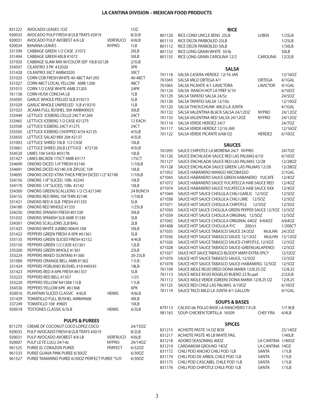#### **LA CANTINA DIVISION – MEXICAN FOOD PRODUCTS LA CANTINA DIVISION – MEXICAN FOOD PRODUCTS**

| 831222           | AVOCADO LEAVES 10Z                                                |                 | 10Z           |                  | <b>RICE</b>                                                                   |                   |                |
|------------------|-------------------------------------------------------------------|-----------------|---------------|------------------|-------------------------------------------------------------------------------|-------------------|----------------|
| 920033           | AVOCADO PULP FRESH 8/2LB TRAYS #3019                              |                 | 8/2LB         | 801120           | RICE COND UNCLE BENS 25LB                                                     | U/BEN             | 1/25LB         |
| 920031           | AVOCADO PULP AVOBEST 4/6 LB                                       | <b>VERFRUCO</b> | 4/6LB         | 801110           | RICE DELTA PARBOILED 25LB                                                     |                   | 1/25LB         |
| 920024           | <b>BANANA LEAVES</b>                                              | <b>NYPRO</b>    | 1LB           | 801112           | RICE DELTA PARBOILED 50LB                                                     |                   | 1/50LB         |
| 331399           | CABBAGE GREEN 1/2 CASE 21072                                      |                 | 20LB          | 801152           | RICE LONG GRAIN WHITE 50 lb                                                   |                   | 50LB           |
| 331404           | CABBAGE GREEN 40LB #1072                                          |                 | 50LB          | 801155           | RICE LONG GRAIN CAROLINA 12/2                                                 | CAROLINA          | 12/2LB         |
| 331920           | CABBAGE SLAW MIX W/COLOR SEP 10LB 02128                           |                 | 2/5LB         |                  |                                                                               |                   |                |
| 354507           | <b>CILANTRO 3 PK #32020</b>                                       |                 | 3PK           |                  | <b>SALSA</b>                                                                  |                   |                |
| 331428           | CILANTRO 30CT AMB#2020                                            |                 | 30CT          | 761118           | SALSA CASERA HERDEZ 12/16 JAR                                                 |                   | 12/16OZ        |
| 331025           | CORN COB FRESH WHITE 40-48CT A#1205                               |                 | 40-48CT       | 761045           | SALSA MILD ORTEGA 4/1                                                         | ORTEGA            | 4/1GAL         |
| 331027           | CORN 48CT LOCAL YELLOW AMB 1206                                   |                 | 48CT          | 761065           | SALSA PICANTE 4/1-LAVICTORA                                                   | <b>LAVICTOR</b>   | $4/1$ GAL      |
| 331015           | CORN 1/2 CASE WHITE AMB 21205                                     |                 | 24PK          | 761124           | SALSA RANCH HOT LA PREF 6/10                                                  |                   | 6/10OZ         |
| 761136           | <b>CORN HUSK CONCHA LB</b>                                        |                 | 1LB           | 761129           | SALSA TAPATIO SALSA 24/5z                                                     |                   | 24/5OZ         |
| 354505           | GARLIC WHOLE PEELED 5LB #19213                                    |                 | 5LB           | 761130           | SALSA TAPATIO SALSA 12/10z                                                    |                   | 12/10OZ        |
| 331029           | GARLIC WHOLE UNPEELED 1LB #19210                                  |                 | 1LB           | 761120           | SALSA THICK/CHUNK MILD LA JUNTA                                               |                   | 4/1GAL         |
| 331023           | JICAMA FULL BUSHEL 30# AMB#00925                                  |                 | 30LB          | 761132           | SALSA VALENTINA BLACK SALSA 24/12OZ                                           | <b>NYPRO</b>      | 24/12OZ        |
| 333449           | LETTUCE ICEBERG CELLO 24CT #1269                                  |                 | 24CT          | 761133           | SALSA VALENTINA RED SALSA 24/12OZ                                             | <b>NYPRO</b>      | 24/12OZ        |
| 333465           | LETTUCE ICEBERG 1/2 CASE #21275                                   |                 | 12 EACH       | 761116           | SALSA VERDE HERDEZ 24/7                                                       |                   | 24/70Z         |
| 333500           | LETTUCE ICEBERG 24CT #1275                                        |                 | 24CT<br>4/5LB | 761117           | SALSA VERDE HERDEZ 12/16 JAR                                                  |                   | 12/16OZ        |
| 333505           | LETTUCE ICEBERG CHOPPED 4/5# #2135<br>LETTUCE SALAD MIX 20# #2137 |                 | 4/5LB         | 761122           | SALSA VERDE PICANTE 6/68 OZ                                                   | <b>HERDEZ</b>     | 6/10OZ         |
| 333650<br>331003 | LETTUCE SHRED 10LB 1/2 CASE                                       |                 | 10LB          |                  |                                                                               |                   |                |
| 333661           | LETTUCE SHRED 20LB LETTUCE #72136                                 |                 | 4/5LB         |                  | <b>SAUCES</b>                                                                 |                   |                |
| 354520           | LIMES 10# 54/63 #03178                                            |                 | 10LB          | 761093           | SAUCE CHIPOTLE LA MORENA 24/7 NYPRO                                           |                   | 24/70Z         |
| 331427           | LIMES BIG BOX 175CT AMB #3177                                     |                 | 175CT         | 761126           | SAUCE ENCHILADA SAUCE RED LAS PALMAS 6/10                                     |                   | 6/100Z         |
| 334690           | ONIONS DICED 1/4" FRESH #2140                                     |                 | 1/10LB        | 761127           | SAUCE ENCHILADA SAUCE RED LAS PALMAS 12/28                                    |                   | 12/280Z        |
| 334691           | ONIONS DICED A5140 3/8 ZIPLOC 10#                                 |                 | 10LB          | 761128           | SAUCE ENCHILADA SAUCE GREEN LAS PALMAS 12/28                                  |                   | 12/280Z        |
| 334695           | ONIONS DICED XTRA THICK FRESH DICED 1/2" #2190                    |                 | 1/10LB        | 671052           | SAUCE HABANERO MANGO ARCOBASSO                                                |                   | $2/1$ GAL      |
| 334156           | ONIONS 1/8" SLICED, 10lb #2243                                    |                 | 10LB          | 671043           | SAUCE HABANERO SAUCE GREEN HABANERO YUCATE                                    |                   | 12/40Z         |
| 334170           | ONIONS 1/4" SLICED, 10lb #2142                                    |                 | 10LB          | 671072           | SAUCE HABANERO SAUCE YUCATECCA HAB SAUCE RED                                  |                   | 12/40Z         |
| 334300           | ONIONS GREEN/SCALLIONS 1/2 CS #21340                              |                 | 24 BUNCH      | 671074           | SAUCE HABANERO SAUCE YUCATECCA HAB SAUCE XXX                                  |                   | 12/40Z         |
| 334155           | ONIONS RED RING 10# THIN #2148                                    |                 | 1/10LB        | 671044           | SAUCE HOT SAUCE CHOLULA CHILI GARLIC 12/50Z                                   |                   | 12/50Z         |
| 331421           | ONIONS RED A 5LB FRESH #31335                                     |                 | 5LB           | 671038           | SAUCE HOT SAUCE CHOLULA CHILI LIME 12/50Z                                     |                   | 12/50Z         |
| 334180           | ONIONS RED WHOLE #1335                                            |                 | 1/25LB        | 671071           | SAUCE HOT SAUCE CHOLULA CHIPOTLE                                              | 12/5OZ            | 12/50Z         |
| 334250           | ONIONS SPANISH FRESH #01330                                       |                 | 50LB          | 671050           | SAUCE HOT SAUCE CHOLULA GREEN PEPPER SAUCE 12/50Z 12/50Z                      |                   |                |
| 331032           | ONIONS SPANISH 5LB AMB 31330                                      |                 | 5LB           | 671039           | SAUCE HOT SAUCE CHOLULA ORIGINAL 12/50Z                                       |                   | 12/50Z         |
| 334301           | ONIONS SCALLIONS 2LB BAG                                          |                 | 2LB           | 671042           | SAUCE HOT SAUCE CHOLULA ORIGINAL 64OZ 4/64OZ                                  |                   | 4/640Z         |
| 331425           | ONIONS WHITE JUMBO 00645 50#                                      |                 | 50LB          | 691408           | SAUCE HOT SAUCE CHOLULA P/C<br>200/ct                                         | McILHN 24/20Z     | 1/200CT        |
| 331422           | PEPPERS GREEN FRESH A 6PK #61361                                  |                 | 5LB           | 671035<br>671036 | SAUCE HOT SAUCE TABASCO SAUCE 24/20Z<br>SAUCE HOT SAUCE TABASCO SAUCE 12/12OZ |                   | McILHN 12/12OZ |
| 335135           | PEPPERS GREEN SLICED FRESH #2152                                  |                 | 4/4LB         | 671026           | SAUCE HOT SAUCE TABASCO SAUCE-CHIPOTLE, 12/5OZ                                |                   | 12/5OZ         |
| 335150           | PEPPERS GREEN 1/2 CASE #21361                                     |                 | 12LB          | 671028           | SAUCE HOT SAUCE TABASCO SAUCE-GREEN(JALAPENO)                                 |                   | 12/5OZ         |
| 335200           | PEPPERS GREEN WHOLE #1361                                         |                 | 25LB          | 671037           | SAUCE HOT SAUCE TABASCO BLOODY MARY-EXTRA SPICY                               |                   | 12/320Z        |
| 333224           | PEPPERS MIXED (SUNTAN) #1360                                      |                 | 20-25LB       | 671076           | SAUCE HOT SAUCE TABASCO SAUCE, 12/50Z                                         |                   | 12/5OZ         |
| 331000           | PEPPERS ORANGE BELL AMB 81362                                     |                 | 11LB          | 671078           | SAUCE HOT SAUCE TABASCO SAUCE-HABANERO, 12/50Z                                |                   | 12/50Z         |
| 331424           | PEPPERS POBLANO BUSHEL #18 #49343                                 |                 | 18LB          | 761109           | SAUCE MOLE ROJO (RED) DONA MARIA 12/8.25 OZ                                   |                   | 12/8.25        |
| 331423           | PEPPERS RED A 6PK FRESH #61357                                    |                 | 5LB           | 761113           | SAUCE MOLE ROJO ROGELIO BUENO 22 lb pail                                      |                   | 2/22LB         |
| 333225           | PEPPERS RED BELL #1357                                            |                 | 1/25          | 761112           | SAUCE MOLE VERDE (GREEN) DONA MARIA 12/8.25 OZ                                |                   | 12/8.25        |
| 333220           | PEPPERS YELLOW A#1368 11LB                                        |                 | 11LB          | 761125           | SAUCE RED CHILE LAS PALMAS 6/100Z                                             |                   | 6/100Z         |
| 354530           | PEPPERS YELLOW 6PK #61368                                         |                 | 6PK           | 761119           | SAUCE TACO MILD LA JUNTA 4/1 GALLON                                           |                   | 4/1GAL         |
| 920016           | PLANTAIN SLICED CLASSIC 4/6LB                                     | <b>HEMIS</b>    | 4/6LB         |                  |                                                                               |                   |                |
| 331429           | TOMATILLO FULL BUSHEL AMB#9606                                    |                 | 40LB          |                  | <b>SOUPS &amp; BASES</b>                                                      |                   |                |
| 337249           | TOMATILLO 10# #9605                                               |                 | 10LB          | 879113           | CALDO de POLLO BASE LA RANCHERO 7.9 LB                                        |                   | 1/7.9LB        |
| 920018           | TOSTONES CLASSIC 6/3LB                                            | <b>HEMIS</b>    | 6/3LB         | 981163           | SOUP-CHICKEN TORTILLA 16509                                                   | <b>CHEF FRA</b>   | 4/4LB          |
|                  | <b>PULPS &amp; PUREES</b>                                         |                 |               |                  | <b>SPICES</b>                                                                 |                   |                |
| 871270           | CREME OF COCONUT COCO LOPEZ COCO                                  |                 | 24/15OZ       | 831215           | ACHIOTE PASTE 14 OZ BOX                                                       |                   | 25/14OZ        |
| 920033           | PULP AVOCADO FRESH 8/2LB TRAYS #3019                              |                 | 8/2LB         | 831217           | ACHIOTE PASTE 40 LB WHITE PAIL                                                |                   | 1/40LB         |
| 920031           | PULP AVOCADO AVOBEST 4/6 LB                                       | <b>VERFRUCO</b> | 4/6LB         | 831218           | ADOBO SEASONING 40OZ                                                          | LA CANTINA 1/40OZ |                |
| 920007           | PULP LE FE LULU 24/14z                                            | <b>NYPRO</b>    | 24/14OZ       | 831219           | CARDAMOM GROUND 14OZ                                                          | LA CANTINA 140Z   |                |
| 961525           | PUREE EL CORAZON PUREE                                            | PERFECT         | 6/320Z        | 831172           | CHILI POD ANCHO CHILI POD 1LB                                                 | SANTA             | 1/1LB          |
| 961533           | PUREE GUAVA PINK PUREE 6/30OZ                                     |                 | 6/30OZ        | 831174           | CHILI POD DE ARBOL CHILE POD 1LB                                              | SANTA             | 1/1LB          |
| 961527           | PUREE TAMARIND PUREE 6/300Z PERFECT PUREE *S/O                    |                 | 6/30OZ        | 831175           | CHILI POD CASCABEL CHILE POD 1LB                                              | SANTA             | 1/1LB          |
|                  |                                                                   |                 |               | 831176           | CHILI POD CHIPOTLE CHILE POD 1LB                                              | SANTA             | 1/1LB          |